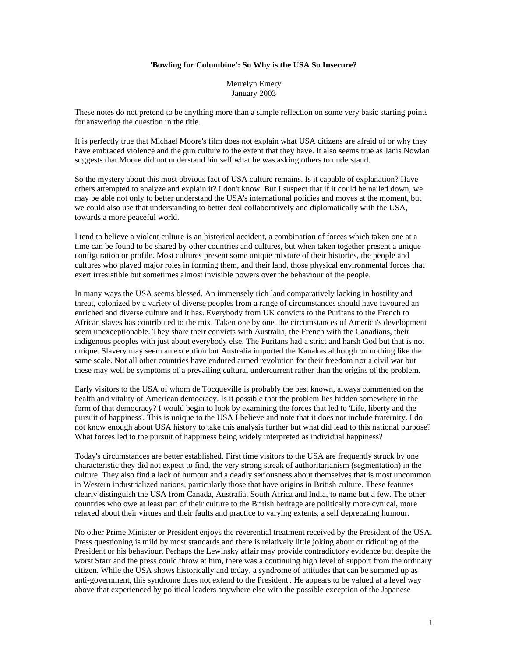## **'Bowling for Columbine': So Why is the USA So Insecure?**

Merrelyn Emery January 2003

These notes do not pretend to be anything more than a simple reflection on some very basic starting points for answering the question in the title.

It is perfectly true that Michael Moore's film does not explain what USA citizens are afraid of or why they have embraced violence and the gun culture to the extent that they have. It also seems true as Janis Nowlan suggests that Moore did not understand himself what he was asking others to understand.

So the mystery about this most obvious fact of USA culture remains. Is it capable of explanation? Have others attempted to analyze and explain it? I don't know. But I suspect that if it could be nailed down, we may be able not only to better understand the USA's international policies and moves at the moment, but we could also use that understanding to better deal collaboratively and diplomatically with the USA, towards a more peaceful world.

I tend to believe a violent culture is an historical accident, a combination of forces which taken one at a time can be found to be shared by other countries and cultures, but when taken together present a unique configuration or profile. Most cultures present some unique mixture of their histories, the people and cultures who played major roles in forming them, and their land, those physical environmental forces that exert irresistible but sometimes almost invisible powers over the behaviour of the people.

In many ways the USA seems blessed. An immensely rich land comparatively lacking in hostility and threat, colonized by a variety of diverse peoples from a range of circumstances should have favoured an enriched and diverse culture and it has. Everybody from UK convicts to the Puritans to the French to African slaves has contributed to the mix. Taken one by one, the circumstances of America's development seem unexceptionable. They share their convicts with Australia, the French with the Canadians, their indigenous peoples with just about everybody else. The Puritans had a strict and harsh God but that is not unique. Slavery may seem an exception but Australia imported the Kanakas although on nothing like the same scale. Not all other countries have endured armed revolution for their freedom nor a civil war but these may well be symptoms of a prevailing cultural undercurrent rather than the origins of the problem.

Early visitors to the USA of whom de Tocqueville is probably the best known, always commented on the health and vitality of American democracy. Is it possible that the problem lies hidden somewhere in the form of that democracy? I would begin to look by examining the forces that led to 'Life, liberty and the pursuit of happiness'. This is unique to the USA I believe and note that it does not include fraternity. I do not know enough about USA history to take this analysis further but what did lead to this national purpose? What forces led to the pursuit of happiness being widely interpreted as individual happiness?

Today's circumstances are better established. First time visitors to the USA are frequently struck by one characteristic they did not expect to find, the very strong streak of authoritarianism (segmentation) in the culture. They also find a lack of humour and a deadly seriousness about themselves that is most uncommon in Western industrialized nations, particularly those that have origins in British culture. These features clearly distinguish the USA from Canada, Australia, South Africa and India, to name but a few. The other countries who owe at least part of their culture to the British heritage are politically more cynical, more relaxed about their virtues and their faults and practice to varying extents, a self deprecating humour.

No other Prime Minister or President enjoys the reverential treatment received by the President of the USA. Press questioning is mild by most standards and there is relatively little joking about or ridiculing of the President or his behaviour. Perhaps the Lewinsky affair may provide contradictory evidence but despite the worst Starr and the press could throw at him, there was a continuing high level of support from the ordinary citizen. While the USA shows historically and today, a syndrome of attitudes that can be summed up as anti-government, this syndrome does not extend to the President<sup>i</sup>. He appears to be valued at a level way above that experienced by political leaders anywhere else with the possible exception of the Japanese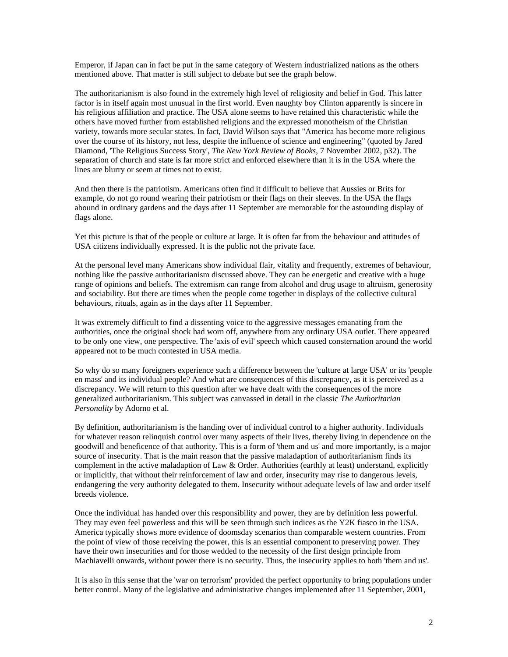Emperor, if Japan can in fact be put in the same category of Western industrialized nations as the others mentioned above. That matter is still subject to debate but see the graph below.

The authoritarianism is also found in the extremely high level of religiosity and belief in God. This latter factor is in itself again most unusual in the first world. Even naughty boy Clinton apparently is sincere in his religious affiliation and practice. The USA alone seems to have retained this characteristic while the others have moved further from established religions and the expressed monotheism of the Christian variety, towards more secular states. In fact, David Wilson says that "America has become more religious over the course of its history, not less, despite the influence of science and engineering" (quoted by Jared Diamond, 'The Religious Success Story', *The New York Review of Books*, 7 November 2002, p32). The separation of church and state is far more strict and enforced elsewhere than it is in the USA where the lines are blurry or seem at times not to exist.

And then there is the patriotism. Americans often find it difficult to believe that Aussies or Brits for example, do not go round wearing their patriotism or their flags on their sleeves. In the USA the flags abound in ordinary gardens and the days after 11 September are memorable for the astounding display of flags alone.

Yet this picture is that of the people or culture at large. It is often far from the behaviour and attitudes of USA citizens individually expressed. It is the public not the private face.

At the personal level many Americans show individual flair, vitality and frequently, extremes of behaviour, nothing like the passive authoritarianism discussed above. They can be energetic and creative with a huge range of opinions and beliefs. The extremism can range from alcohol and drug usage to altruism, generosity and sociability. But there are times when the people come together in displays of the collective cultural behaviours, rituals, again as in the days after 11 September.

It was extremely difficult to find a dissenting voice to the aggressive messages emanating from the authorities, once the original shock had worn off, anywhere from any ordinary USA outlet. There appeared to be only one view, one perspective. The 'axis of evil' speech which caused consternation around the world appeared not to be much contested in USA media.

So why do so many foreigners experience such a difference between the 'culture at large USA' or its 'people en mass' and its individual people? And what are consequences of this discrepancy, as it is perceived as a discrepancy. We will return to this question after we have dealt with the consequences of the more generalized authoritarianism. This subject was canvassed in detail in the classic *The Authoritarian Personality* by Adorno et al.

By definition, authoritarianism is the handing over of individual control to a higher authority. Individuals for whatever reason relinquish control over many aspects of their lives, thereby living in dependence on the goodwill and beneficence of that authority. This is a form of 'them and us' and more importantly, is a major source of insecurity. That is the main reason that the passive maladaption of authoritarianism finds its complement in the active maladaption of Law & Order. Authorities (earthly at least) understand, explicitly or implicitly, that without their reinforcement of law and order, insecurity may rise to dangerous levels, endangering the very authority delegated to them. Insecurity without adequate levels of law and order itself breeds violence.

Once the individual has handed over this responsibility and power, they are by definition less powerful. They may even feel powerless and this will be seen through such indices as the Y2K fiasco in the USA. America typically shows more evidence of doomsday scenarios than comparable western countries. From the point of view of those receiving the power, this is an essential component to preserving power. They have their own insecurities and for those wedded to the necessity of the first design principle from Machiavelli onwards, without power there is no security. Thus, the insecurity applies to both 'them and us'.

It is also in this sense that the 'war on terrorism' provided the perfect opportunity to bring populations under better control. Many of the legislative and administrative changes implemented after 11 September, 2001,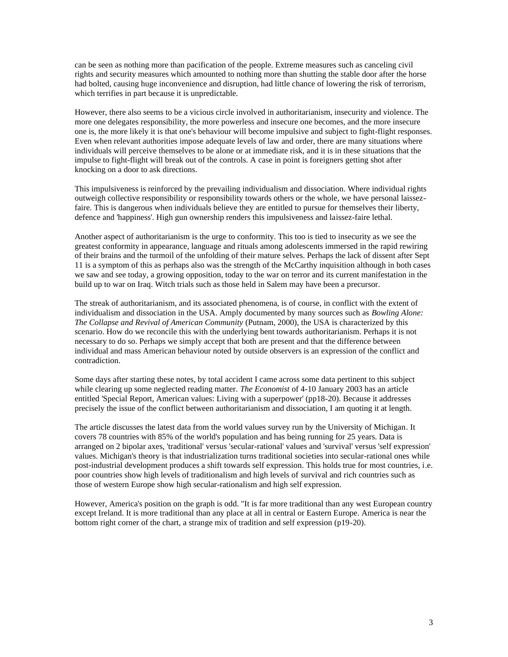can be seen as nothing more than pacification of the people. Extreme measures such as canceling civil rights and security measures which amounted to nothing more than shutting the stable door after the horse had bolted, causing huge inconvenience and disruption, had little chance of lowering the risk of terrorism, which terrifies in part because it is unpredictable.

However, there also seems to be a vicious circle involved in authoritarianism, insecurity and violence. The more one delegates responsibility, the more powerless and insecure one becomes, and the more insecure one is, the more likely it is that one's behaviour will become impulsive and subject to fight-flight responses. Even when relevant authorities impose adequate levels of law and order, there are many situations where individuals will perceive themselves to be alone or at immediate risk, and it is in these situations that the impulse to fight-flight will break out of the controls. A case in point is foreigners getting shot after knocking on a door to ask directions.

This impulsiveness is reinforced by the prevailing individualism and dissociation. Where individual rights outweigh collective responsibility or responsibility towards others or the whole, we have personal laissezfaire. This is dangerous when individuals believe they are entitled to pursue for themselves their liberty, defence and 'happiness'. High gun ownership renders this impulsiveness and laissez-faire lethal.

Another aspect of authoritarianism is the urge to conformity. This too is tied to insecurity as we see the greatest conformity in appearance, language and rituals among adolescents immersed in the rapid rewiring of their brains and the turmoil of the unfolding of their mature selves. Perhaps the lack of dissent after Sept 11 is a symptom of this as perhaps also was the strength of the McCarthy inquisition although in both cases we saw and see today, a growing opposition, today to the war on terror and its current manifestation in the build up to war on Iraq. Witch trials such as those held in Salem may have been a precursor.

The streak of authoritarianism, and its associated phenomena, is of course, in conflict with the extent of individualism and dissociation in the USA. Amply documented by many sources such as *Bowling Alone: The Collapse and Revival of American Community* (Putnam, 2000), the USA is characterized by this scenario. How do we reconcile this with the underlying bent towards authoritarianism. Perhaps it is not necessary to do so. Perhaps we simply accept that both are present and that the difference between individual and mass American behaviour noted by outside observers is an expression of the conflict and contradiction.

Some days after starting these notes, by total accident I came across some data pertinent to this subject while clearing up some neglected reading matter. *The Economist* of 4-10 January 2003 has an article entitled 'Special Report, American values: Living with a superpower' (pp18-20). Because it addresses precisely the issue of the conflict between authoritarianism and dissociation, I am quoting it at length.

The article discusses the latest data from the world values survey run by the University of Michigan. It covers 78 countries with 85% of the world's population and has being running for 25 years. Data is arranged on 2 bipolar axes, 'traditional' versus 'secular-rational' values and 'survival' versus 'self expression' values. Michigan's theory is that industrialization turns traditional societies into secular-rational ones while post-industrial development produces a shift towards self expression. This holds true for most countries, i.e. poor countries show high levels of traditionalism and high levels of survival and rich countries such as those of western Europe show high secular-rationalism and high self expression.

However, America's position on the graph is odd. "It is far more traditional than any west European country except Ireland. It is more traditional than any place at all in central or Eastern Europe. America is near the bottom right corner of the chart, a strange mix of tradition and self expression (p19-20).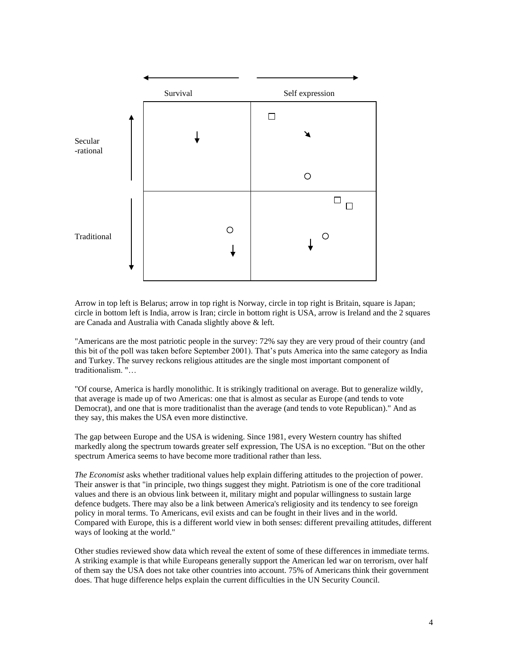

Arrow in top left is Belarus; arrow in top right is Norway, circle in top right is Britain, square is Japan; circle in bottom left is India, arrow is Iran; circle in bottom right is USA, arrow is Ireland and the 2 squares are Canada and Australia with Canada slightly above & left.

"Americans are the most patriotic people in the survey: 72% say they are very proud of their country (and this bit of the poll was taken before September 2001). That's puts America into the same category as India and Turkey. The survey reckons religious attitudes are the single most important component of traditionalism. "…

"Of course, America is hardly monolithic. It is strikingly traditional on average. But to generalize wildly, that average is made up of two Americas: one that is almost as secular as Europe (and tends to vote Democrat), and one that is more traditionalist than the average (and tends to vote Republican)." And as they say, this makes the USA even more distinctive.

The gap between Europe and the USA is widening. Since 1981, every Western country has shifted markedly along the spectrum towards greater self expression, The USA is no exception. "But on the other spectrum America seems to have become more traditional rather than less.

*The Economist* asks whether traditional values help explain differing attitudes to the projection of power. Their answer is that "in principle, two things suggest they might. Patriotism is one of the core traditional values and there is an obvious link between it, military might and popular willingness to sustain large defence budgets. There may also be a link between America's religiosity and its tendency to see foreign policy in moral terms. To Americans, evil exists and can be fought in their lives and in the world. Compared with Europe, this is a different world view in both senses: different prevailing attitudes, different ways of looking at the world."

Other studies reviewed show data which reveal the extent of some of these differences in immediate terms. A striking example is that while Europeans generally support the American led war on terrorism, over half of them say the USA does not take other countries into account. 75% of Americans think their government does. That huge difference helps explain the current difficulties in the UN Security Council.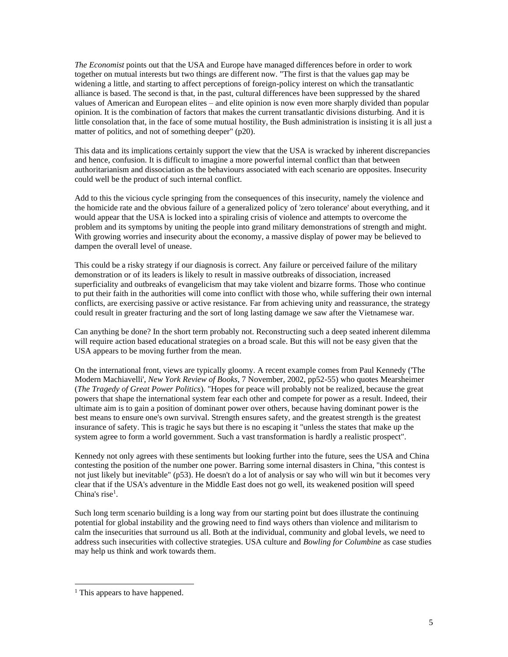*The Economist* points out that the USA and Europe have managed differences before in order to work together on mutual interests but two things are different now. "The first is that the values gap may be widening a little, and starting to affect perceptions of foreign-policy interest on which the transatlantic alliance is based. The second is that, in the past, cultural differences have been suppressed by the shared values of American and European elites – and elite opinion is now even more sharply divided than popular opinion. It is the combination of factors that makes the current transatlantic divisions disturbing. And it is little consolation that, in the face of some mutual hostility, the Bush administration is insisting it is all just a matter of politics, and not of something deeper" (p20).

This data and its implications certainly support the view that the USA is wracked by inherent discrepancies and hence, confusion. It is difficult to imagine a more powerful internal conflict than that between authoritarianism and dissociation as the behaviours associated with each scenario are opposites. Insecurity could well be the product of such internal conflict.

Add to this the vicious cycle springing from the consequences of this insecurity, namely the violence and the homicide rate and the obvious failure of a generalized policy of 'zero tolerance' about everything, and it would appear that the USA is locked into a spiraling crisis of violence and attempts to overcome the problem and its symptoms by uniting the people into grand military demonstrations of strength and might. With growing worries and insecurity about the economy, a massive display of power may be believed to dampen the overall level of unease.

This could be a risky strategy if our diagnosis is correct. Any failure or perceived failure of the military demonstration or of its leaders is likely to result in massive outbreaks of dissociation, increased superficiality and outbreaks of evangelicism that may take violent and bizarre forms. Those who continue to put their faith in the authorities will come into conflict with those who, while suffering their own internal conflicts, are exercising passive or active resistance. Far from achieving unity and reassurance, the strategy could result in greater fracturing and the sort of long lasting damage we saw after the Vietnamese war.

Can anything be done? In the short term probably not. Reconstructing such a deep seated inherent dilemma will require action based educational strategies on a broad scale. But this will not be easy given that the USA appears to be moving further from the mean.

On the international front, views are typically gloomy. A recent example comes from Paul Kennedy ('The Modern Machiavelli', *New York Review of Books*, 7 November, 2002, pp52-55) who quotes Mearsheimer (*The Tragedy of Great Power Politics*). "Hopes for peace will probably not be realized, because the great powers that shape the international system fear each other and compete for power as a result. Indeed, their ultimate aim is to gain a position of dominant power over others, because having dominant power is the best means to ensure one's own survival. Strength ensures safety, and the greatest strength is the greatest insurance of safety. This is tragic he says but there is no escaping it "unless the states that make up the system agree to form a world government. Such a vast transformation is hardly a realistic prospect".

Kennedy not only agrees with these sentiments but looking further into the future, sees the USA and China contesting the position of the number one power. Barring some internal disasters in China, "this contest is not just likely but inevitable" (p53). He doesn't do a lot of analysis or say who will win but it becomes very clear that if the USA's adventure in the Middle East does not go well, its weakened position will speed China's rise<sup>1</sup>.

Such long term scenario building is a long way from our starting point but does illustrate the continuing potential for global instability and the growing need to find ways others than violence and militarism to calm the insecurities that surround us all. Both at the individual, community and global levels, we need to address such insecurities with collective strategies. USA culture and *Bowling for Columbine* as case studies may help us think and work towards them.

<sup>&</sup>lt;sup>1</sup> This appears to have happened.